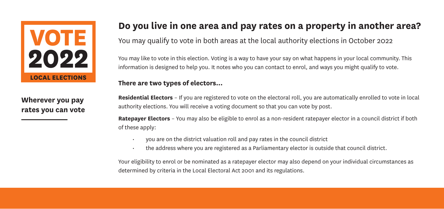

**Wherever you pay rates you can vote**

## **Do you live in one area and pay rates on a property in another area?**

You may qualify to vote in both areas at the local authority elections in October 2022

You may like to vote in this election. Voting is a way to have your say on what happens in your local community. This information is designed to help you. It notes who you can contact to enrol, and ways you might qualify to vote.

#### **There are two types of electors...**

**Residential Electors** – If you are registered to vote on the electoral roll, you are automatically enrolled to vote in local authority elections. You will receive a voting document so that you can vote by post.

**Ratepayer Electors** – You may also be eligible to enrol as a non-resident ratepayer elector in a council district if both of these apply:

- you are on the district valuation roll and pay rates in the council district
- the address where you are registered as a Parliamentary elector is outside that council district.

Your eligibility to enrol or be nominated as a ratepayer elector may also depend on your individual circumstances as determined by criteria in the Local Electoral Act 2001 and its regulations.